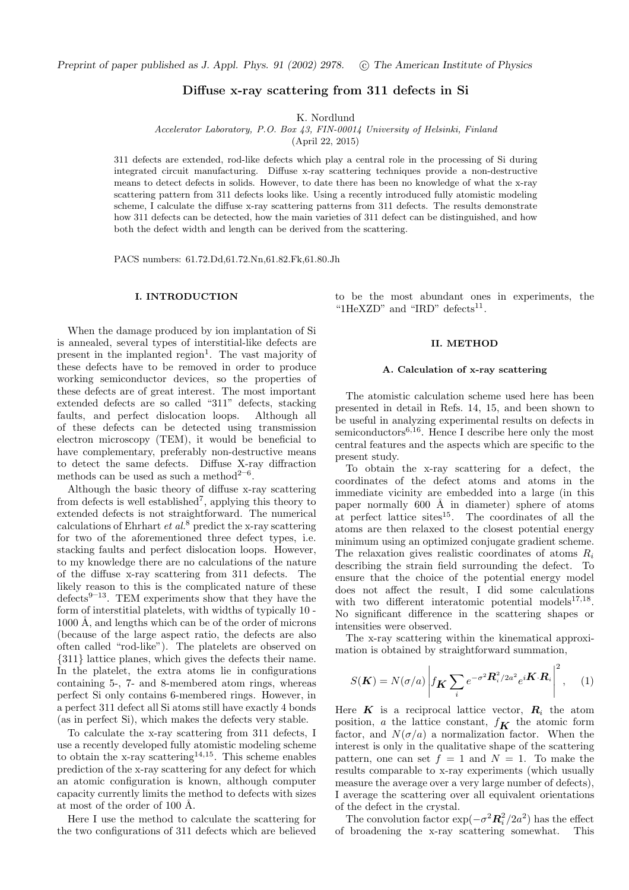## Diffuse x-ray scattering from 311 defects in Si

K. Nordlund

Accelerator Laboratory, P.O. Box 43, FIN-00014 University of Helsinki, Finland

(April 22, 2015)

311 defects are extended, rod-like defects which play a central role in the processing of Si during integrated circuit manufacturing. Diffuse x-ray scattering techniques provide a non-destructive means to detect defects in solids. However, to date there has been no knowledge of what the x-ray scattering pattern from 311 defects looks like. Using a recently introduced fully atomistic modeling scheme, I calculate the diffuse x-ray scattering patterns from 311 defects. The results demonstrate how 311 defects can be detected, how the main varieties of 311 defect can be distinguished, and how both the defect width and length can be derived from the scattering.

PACS numbers: 61.72.Dd,61.72.Nn,61.82.Fk,61.80.Jh

### I. INTRODUCTION

When the damage produced by ion implantation of Si is annealed, several types of interstitial-like defects are present in the implanted region<sup>1</sup>. The vast majority of these defects have to be removed in order to produce working semiconductor devices, so the properties of these defects are of great interest. The most important extended defects are so called "311" defects, stacking faults, and perfect dislocation loops. Although all of these defects can be detected using transmission electron microscopy (TEM), it would be beneficial to have complementary, preferably non-destructive means to detect the same defects. Diffuse X-ray diffraction methods can be used as such a method<sup> $2-6$ </sup>.

Although the basic theory of diffuse x-ray scattering from defects is well established<sup>7</sup>, applying this theory to extended defects is not straightforward. The numerical calculations of Ehrhart et  $al$ .<sup>8</sup> predict the x-ray scattering for two of the aforementioned three defect types, i.e. stacking faults and perfect dislocation loops. However, to my knowledge there are no calculations of the nature of the diffuse x-ray scattering from 311 defects. The likely reason to this is the complicated nature of these defects<sup>9–13</sup>. TEM experiments show that they have the form of interstitial platelets, with widths of typically 10 -  $1000 \text{ Å}$ , and lengths which can be of the order of microns (because of the large aspect ratio, the defects are also often called "rod-like"). The platelets are observed on {311} lattice planes, which gives the defects their name. In the platelet, the extra atoms lie in configurations containing 5-, 7- and 8-membered atom rings, whereas perfect Si only contains 6-membered rings. However, in a perfect 311 defect all Si atoms still have exactly 4 bonds (as in perfect Si), which makes the defects very stable.

To calculate the x-ray scattering from 311 defects, I use a recently developed fully atomistic modeling scheme to obtain the x-ray scattering<sup>14,15</sup>. This scheme enables prediction of the x-ray scattering for any defect for which an atomic configuration is known, although computer capacity currently limits the method to defects with sizes at most of the order of 100 Å.

Here I use the method to calculate the scattering for the two configurations of 311 defects which are believed to be the most abundant ones in experiments, the "1HeXZD" and "IRD" defects $^{11}$ .

### II. METHOD

#### A. Calculation of x-ray scattering

The atomistic calculation scheme used here has been presented in detail in Refs. 14, 15, and been shown to be useful in analyzing experimental results on defects in semiconductors<sup>6,16</sup>. Hence I describe here only the most central features and the aspects which are specific to the present study.

To obtain the x-ray scattering for a defect, the coordinates of the defect atoms and atoms in the immediate vicinity are embedded into a large (in this paper normally  $600 \text{ Å}$  in diameter) sphere of atoms at perfect lattice sites $15$ . The coordinates of all the atoms are then relaxed to the closest potential energy minimum using an optimized conjugate gradient scheme. The relaxation gives realistic coordinates of atoms  $R_i$ describing the strain field surrounding the defect. To ensure that the choice of the potential energy model does not affect the result, I did some calculations with two different interatomic potential models<sup>17,18</sup>. No significant difference in the scattering shapes or intensities were observed.

The x-ray scattering within the kinematical approximation is obtained by straightforward summation,

$$
S(\boldsymbol{K}) = N(\sigma/a) \left| f_{\boldsymbol{K}} \sum_{i} e^{-\sigma^2 \boldsymbol{R}_i^2 / 2a^2} e^{i \boldsymbol{K} \cdot \boldsymbol{R}_i} \right|^2, \quad (1)
$$

Here  $K$  is a reciprocal lattice vector,  $R_i$  the atom position, a the lattice constant,  $f_{\mathbf{K}}$  the atomic form factor, and  $N(\sigma/a)$  a normalization factor. When the interest is only in the qualitative shape of the scattering pattern, one can set  $f = 1$  and  $N = 1$ . To make the results comparable to x-ray experiments (which usually measure the average over a very large number of defects), I average the scattering over all equivalent orientations of the defect in the crystal.

The convolution factor  $\exp(-\sigma^2 \mathbf{R}_i^2/2a^2)$  has the effect of broadening the x-ray scattering somewhat. This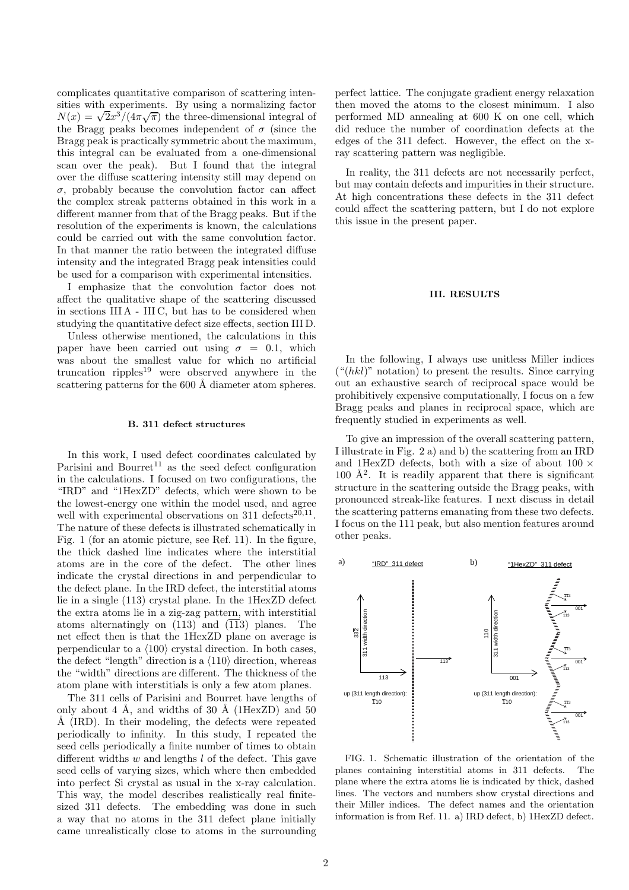complicates quantitative comparison of scattering intensities with experiments. By using a normalizing factor  $N(x) = \sqrt{2x^3/(4\pi\sqrt{\pi})}$  the three-dimensional integral of the Bragg peaks becomes independent of  $\sigma$  (since the Bragg peak is practically symmetric about the maximum, this integral can be evaluated from a one-dimensional scan over the peak). But I found that the integral over the diffuse scattering intensity still may depend on σ, probably because the convolution factor can affect the complex streak patterns obtained in this work in a different manner from that of the Bragg peaks. But if the resolution of the experiments is known, the calculations could be carried out with the same convolution factor. In that manner the ratio between the integrated diffuse intensity and the integrated Bragg peak intensities could be used for a comparison with experimental intensities.

I emphasize that the convolution factor does not affect the qualitative shape of the scattering discussed in sections III A - III C, but has to be considered when studying the quantitative defect size effects, section III D.

Unless otherwise mentioned, the calculations in this paper have been carried out using  $\sigma = 0.1$ , which was about the smallest value for which no artificial truncation ripples<sup>19</sup> were observed anywhere in the scattering patterns for the 600 Å diameter atom spheres.

### B. 311 defect structures

In this work, I used defect coordinates calculated by Parisini and Bourret<sup>11</sup> as the seed defect configuration in the calculations. I focused on two configurations, the "IRD" and "1HexZD" defects, which were shown to be the lowest-energy one within the model used, and agree well with experimental observations on 311 defects<sup>20,11</sup>. The nature of these defects is illustrated schematically in Fig. 1 (for an atomic picture, see Ref. 11). In the figure, the thick dashed line indicates where the interstitial atoms are in the core of the defect. The other lines indicate the crystal directions in and perpendicular to the defect plane. In the IRD defect, the interstitial atoms lie in a single (113) crystal plane. In the 1HexZD defect the extra atoms lie in a zig-zag pattern, with interstitial atoms alternatingly on  $(113)$  and  $(\overline{113})$  planes. The net effect then is that the 1HexZD plane on average is perpendicular to a  $\langle 100 \rangle$  crystal direction. In both cases, the defect "length" direction is a  $\langle 110 \rangle$  direction, whereas the "width" directions are different. The thickness of the atom plane with interstitials is only a few atom planes.

The 311 cells of Parisini and Bourret have lengths of only about 4 Å, and widths of 30 Å (1HexZD) and 50 Å (IRD). In their modeling, the defects were repeated periodically to infinity. In this study, I repeated the seed cells periodically a finite number of times to obtain different widths  $w$  and lengths  $l$  of the defect. This gave seed cells of varying sizes, which where then embedded into perfect Si crystal as usual in the x-ray calculation. This way, the model describes realistically real finitesized 311 defects. The embedding was done in such a way that no atoms in the 311 defect plane initially came unrealistically close to atoms in the surrounding perfect lattice. The conjugate gradient energy relaxation then moved the atoms to the closest minimum. I also performed MD annealing at 600 K on one cell, which did reduce the number of coordination defects at the edges of the 311 defect. However, the effect on the xray scattering pattern was negligible.

In reality, the 311 defects are not necessarily perfect, but may contain defects and impurities in their structure. At high concentrations these defects in the 311 defect could affect the scattering pattern, but I do not explore this issue in the present paper.

#### III. RESULTS

In the following, I always use unitless Miller indices  $($ "(hkl)" notation) to present the results. Since carrying out an exhaustive search of reciprocal space would be prohibitively expensive computationally, I focus on a few Bragg peaks and planes in reciprocal space, which are frequently studied in experiments as well.

To give an impression of the overall scattering pattern, I illustrate in Fig. 2 a) and b) the scattering from an IRD and 1HexZD defects, both with a size of about  $100 \times$ 100 Å<sup>2</sup>. It is readily apparent that there is significant structure in the scattering outside the Bragg peaks, with pronounced streak-like features. I next discuss in detail the scattering patterns emanating from these two defects. I focus on the 111 peak, but also mention features around other peaks.



FIG. 1. Schematic illustration of the orientation of the planes containing interstitial atoms in 311 defects. The plane where the extra atoms lie is indicated by thick, dashed lines. The vectors and numbers show crystal directions and their Miller indices. The defect names and the orientation information is from Ref. 11. a) IRD defect, b) 1HexZD defect.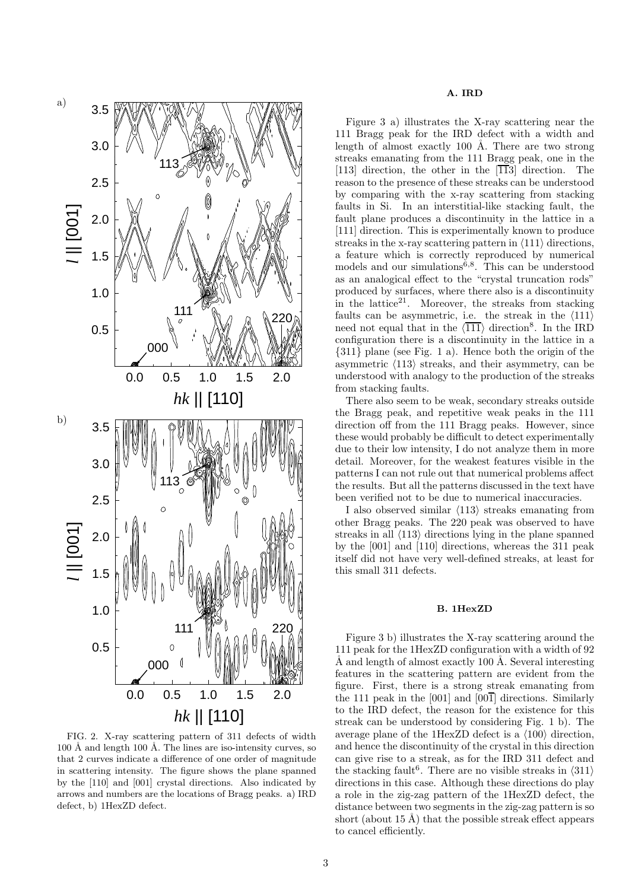

FIG. 2. X-ray scattering pattern of 311 defects of width  $100 \text{ Å}$  and length  $100 \text{ Å}$ . The lines are iso-intensity curves, so that 2 curves indicate a difference of one order of magnitude in scattering intensity. The figure shows the plane spanned by the [110] and [001] crystal directions. Also indicated by arrows and numbers are the locations of Bragg peaks. a) IRD defect, b) 1HexZD defect.

Figure 3 a) illustrates the X-ray scattering near the 111 Bragg peak for the IRD defect with a width and length of almost exactly 100 Å. There are two strong streaks emanating from the 111 Bragg peak, one in the [113] direction, the other in the [113] direction. The reason to the presence of these streaks can be understood by comparing with the x-ray scattering from stacking faults in Si. In an interstitial-like stacking fault, the fault plane produces a discontinuity in the lattice in a [111] direction. This is experimentally known to produce streaks in the x-ray scattering pattern in  $\langle 111 \rangle$  directions, a feature which is correctly reproduced by numerical models and our simulations<sup>6,8</sup>. This can be understood as an analogical effect to the "crystal truncation rods" produced by surfaces, where there also is a discontinuity in the lattice<sup>21</sup>. Moreover, the streaks from stacking faults can be asymmetric, i.e. the streak in the  $\langle 111 \rangle$ need not equal that in the  $\langle \overline{111} \rangle$  direction<sup>8</sup>. In the IRD configuration there is a discontinuity in the lattice in a {311} plane (see Fig. 1 a). Hence both the origin of the asymmetric  $\langle 113 \rangle$  streaks, and their asymmetry, can be understood with analogy to the production of the streaks from stacking faults.

There also seem to be weak, secondary streaks outside the Bragg peak, and repetitive weak peaks in the 111 direction off from the 111 Bragg peaks. However, since these would probably be difficult to detect experimentally due to their low intensity, I do not analyze them in more detail. Moreover, for the weakest features visible in the patterns I can not rule out that numerical problems affect the results. But all the patterns discussed in the text have been verified not to be due to numerical inaccuracies.

I also observed similar  $\langle 113 \rangle$  streaks emanating from other Bragg peaks. The 220 peak was observed to have streaks in all  $\langle 113 \rangle$  directions lying in the plane spanned by the [001] and [110] directions, whereas the 311 peak itself did not have very well-defined streaks, at least for this small 311 defects.

### B. 1HexZD

Figure 3 b) illustrates the X-ray scattering around the 111 peak for the 1HexZD configuration with a width of 92 Å and length of almost exactly 100 Å. Several interesting features in the scattering pattern are evident from the figure. First, there is a strong streak emanating from the 111 peak in the  $[001]$  and  $[00\overline{1}]$  directions. Similarly to the IRD defect, the reason for the existence for this streak can be understood by considering Fig. 1 b). The average plane of the 1HexZD defect is a  $\langle 100 \rangle$  direction, and hence the discontinuity of the crystal in this direction can give rise to a streak, as for the IRD 311 defect and the stacking fault<sup>6</sup>. There are no visible streaks in  $\langle 311 \rangle$ directions in this case. Although these directions do play a role in the zig-zag pattern of the 1HexZD defect, the distance between two segments in the zig-zag pattern is so short (about  $15 \text{ Å}$ ) that the possible streak effect appears to cancel efficiently.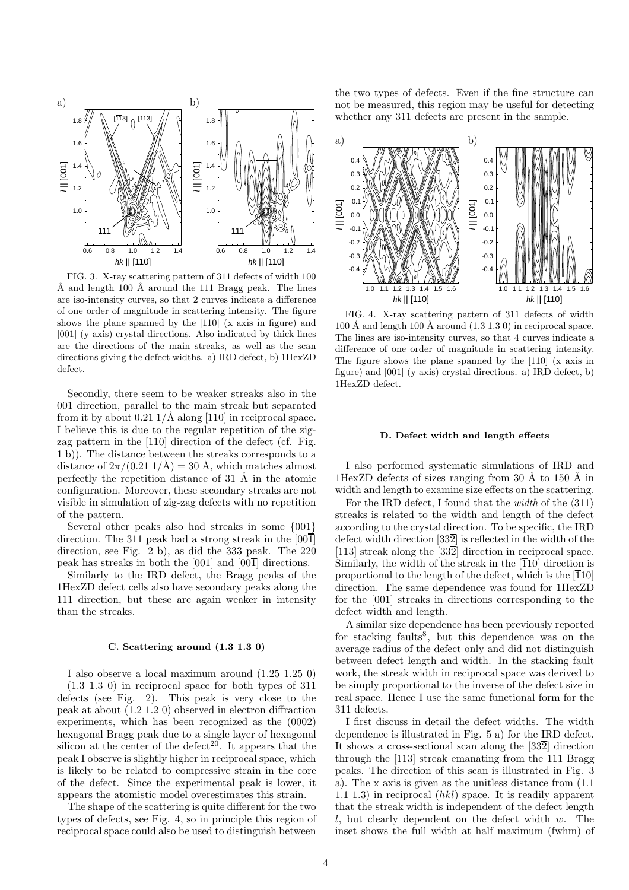

FIG. 3. X-ray scattering pattern of 311 defects of width 100 Å and length 100 Å around the 111 Bragg peak. The lines are iso-intensity curves, so that 2 curves indicate a difference of one order of magnitude in scattering intensity. The figure shows the plane spanned by the [110] (x axis in figure) and [001] (y axis) crystal directions. Also indicated by thick lines are the directions of the main streaks, as well as the scan directions giving the defect widths. a) IRD defect, b) 1HexZD defect.

Secondly, there seem to be weaker streaks also in the 001 direction, parallel to the main streak but separated from it by about  $0.21 \frac{1}{\text{A}}$  along [110] in reciprocal space. I believe this is due to the regular repetition of the zigzag pattern in the [110] direction of the defect (cf. Fig. 1 b)). The distance between the streaks corresponds to a distance of  $2\pi/(0.21 \frac{1}{\text{A}}) = 30 \text{ Å}$ , which matches almost perfectly the repetition distance of  $31 \text{ Å}$  in the atomic configuration. Moreover, these secondary streaks are not visible in simulation of zig-zag defects with no repetition of the pattern.

Several other peaks also had streaks in some {001} direction. The 311 peak had a strong streak in the [001] direction, see Fig. 2 b), as did the 333 peak. The 220 peak has streaks in both the  $[001]$  and  $[00\overline{1}]$  directions.

Similarly to the IRD defect, the Bragg peaks of the 1HexZD defect cells also have secondary peaks along the 111 direction, but these are again weaker in intensity than the streaks.

### C. Scattering around (1.3 1.3 0)

I also observe a local maximum around (1.25 1.25 0)  $(1.3 \t1.3 \t0)$  in reciprocal space for both types of 311 defects (see Fig. 2). This peak is very close to the peak at about (1.2 1.2 0) observed in electron diffraction experiments, which has been recognized as the (0002) hexagonal Bragg peak due to a single layer of hexagonal silicon at the center of the defect<sup>20</sup>. It appears that the peak I observe is slightly higher in reciprocal space, which is likely to be related to compressive strain in the core of the defect. Since the experimental peak is lower, it appears the atomistic model overestimates this strain.

The shape of the scattering is quite different for the two types of defects, see Fig. 4, so in principle this region of reciprocal space could also be used to distinguish between the two types of defects. Even if the fine structure can not be measured, this region may be useful for detecting whether any 311 defects are present in the sample.



FIG. 4. X-ray scattering pattern of 311 defects of width 100 Å and length 100 Å around  $(1.3 1.3 0)$  in reciprocal space. The lines are iso-intensity curves, so that 4 curves indicate a difference of one order of magnitude in scattering intensity. The figure shows the plane spanned by the [110] (x axis in figure) and [001] (y axis) crystal directions. a) IRD defect, b) 1HexZD defect.

### D. Defect width and length effects

I also performed systematic simulations of IRD and 1HexZD defects of sizes ranging from 30 Å to 150 Å in width and length to examine size effects on the scattering.

For the IRD defect, I found that the width of the  $\langle 311 \rangle$ streaks is related to the width and length of the defect according to the crystal direction. To be specific, the IRD defect width direction  $[33\overline{2}]$  is reflected in the width of the [113] streak along the  $\overline{332}$  direction in reciprocal space. Similarly, the width of the streak in the  $[110]$  direction is proportional to the length of the defect, which is the  $\overline{110}$ direction. The same dependence was found for 1HexZD for the [001] streaks in directions corresponding to the defect width and length.

A similar size dependence has been previously reported for stacking faults<sup>8</sup>, but this dependence was on the average radius of the defect only and did not distinguish between defect length and width. In the stacking fault work, the streak width in reciprocal space was derived to be simply proportional to the inverse of the defect size in real space. Hence I use the same functional form for the 311 defects.

I first discuss in detail the defect widths. The width dependence is illustrated in Fig. 5 a) for the IRD defect. It shows a cross-sectional scan along the  $[33\overline{2}]$  direction through the [113] streak emanating from the 111 Bragg peaks. The direction of this scan is illustrated in Fig. 3 a). The x axis is given as the unitless distance from (1.1 1.1 1.3) in reciprocal  $(hkl)$  space. It is readily apparent that the streak width is independent of the defect length  $l$ , but clearly dependent on the defect width  $w$ . The inset shows the full width at half maximum (fwhm) of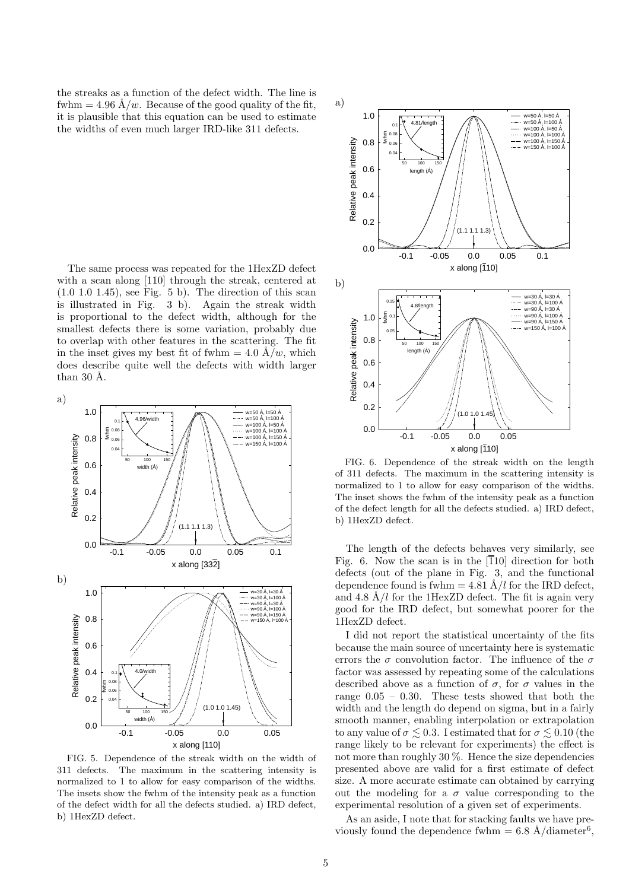the streaks as a function of the defect width. The line is fwhm = 4.96 Å/w. Because of the good quality of the fit, it is plausible that this equation can be used to estimate the widths of even much larger IRD-like 311 defects.

The same process was repeated for the 1HexZD defect with a scan along [110] through the streak, centered at  $(1.0 1.0 1.45)$ , see Fig. 5 b). The direction of this scan is illustrated in Fig. 3 b). Again the streak width is proportional to the defect width, although for the smallest defects there is some variation, probably due to overlap with other features in the scattering. The fit in the inset gives my best fit of fwhm  $= 4.0 \text{ Å}/w$ , which does describe quite well the defects with width larger than 30  $\AA$ .



FIG. 5. Dependence of the streak width on the width of 311 defects. The maximum in the scattering intensity is normalized to 1 to allow for easy comparison of the widths. The insets show the fwhm of the intensity peak as a function of the defect width for all the defects studied. a) IRD defect, b) 1HexZD defect.



FIG. 6. Dependence of the streak width on the length of 311 defects. The maximum in the scattering intensity is normalized to 1 to allow for easy comparison of the widths. The inset shows the fwhm of the intensity peak as a function of the defect length for all the defects studied. a) IRD defect, b) 1HexZD defect.

The length of the defects behaves very similarly, see Fig. 6. Now the scan is in the  $\overline{110}$  direction for both defects (out of the plane in Fig. 3, and the functional dependence found is fwhm = 4.81 Å/l for the IRD defect, and 4.8  $\AA/l$  for the 1HexZD defect. The fit is again very good for the IRD defect, but somewhat poorer for the 1HexZD defect.

I did not report the statistical uncertainty of the fits because the main source of uncertainty here is systematic errors the  $\sigma$  convolution factor. The influence of the  $\sigma$ factor was assessed by repeating some of the calculations described above as a function of  $\sigma$ , for  $\sigma$  values in the range 0.05 – 0.30. These tests showed that both the width and the length do depend on sigma, but in a fairly smooth manner, enabling interpolation or extrapolation to any value of  $\sigma \lesssim 0.3$ . I estimated that for  $\sigma \lesssim 0.10$  (the range likely to be relevant for experiments) the effect is not more than roughly 30 %. Hence the size dependencies presented above are valid for a first estimate of defect size. A more accurate estimate can obtained by carrying out the modeling for a  $\sigma$  value corresponding to the experimental resolution of a given set of experiments.

As an aside, I note that for stacking faults we have previously found the dependence fwhm =  $6.8 \text{ Å/diameter}^6$ ,